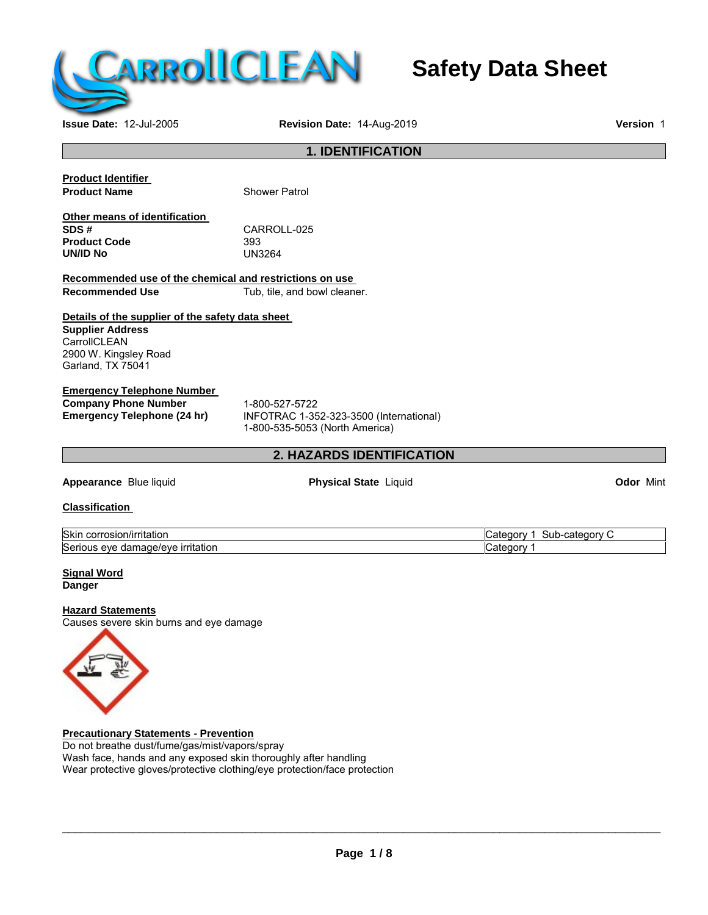

# **Safety Data Sheet**

**Issue Date:** 12-Jul-2005 **Revision Date:** 14-Aug-2019 **Version** 1

## **1. IDENTIFICATION**

| <b>Product Identifier</b>     |                      |
|-------------------------------|----------------------|
| <b>Product Name</b>           | <b>Shower Patrol</b> |
| Other means of identification |                      |
| SDS#                          | CARROLL-025          |
| <b>Product Code</b>           | 393                  |
| UN/ID No                      | UN3264               |

**Recommended use of the chemical and restrictions on use** Tub, tile, and bowl cleaner.

# **Details of the supplier of the safety data sheet Supplier Address CarrollCLEAN**

2900 W. Kingsley Road Garland, TX 75041

# **Emergency Telephone Number**

**Company Phone Number** 1-800-527-5722<br> **Emergency Telephone (24 hr)** INFOTRAC 1-35

**Emergency Telephone (24 hr)** INFOTRAC 1-352-323-3500 (International) 1-800-535-5053 (North America)

# **2. HAZARDS IDENTIFICATION**

**Appearance** Blue liquid **Physical State** Liquid **Odor** Mint

#### **Classification**

| Skin                                                        | -category   |
|-------------------------------------------------------------|-------------|
| $\cdot$ .                                                   | .           |
| . .                                                         | -sub        |
| rosion/irritation                                           | …uorv       |
| ------                                                      | udi"        |
| . COL                                                       | ъ.          |
| ∽<br><b>Irritation</b><br>mage/eve<br>Serious<br>eve<br>dan | 2 ategory ب |

#### **Signal Word Danger**

#### **Hazard Statements**

Causes severe skin burns and eye damage



**Precautionary Statements - Prevention** Do not breathe dust/fume/gas/mist/vapors/spray Wash face, hands and any exposed skin thoroughly after handling Wear protective gloves/protective clothing/eye protection/face protection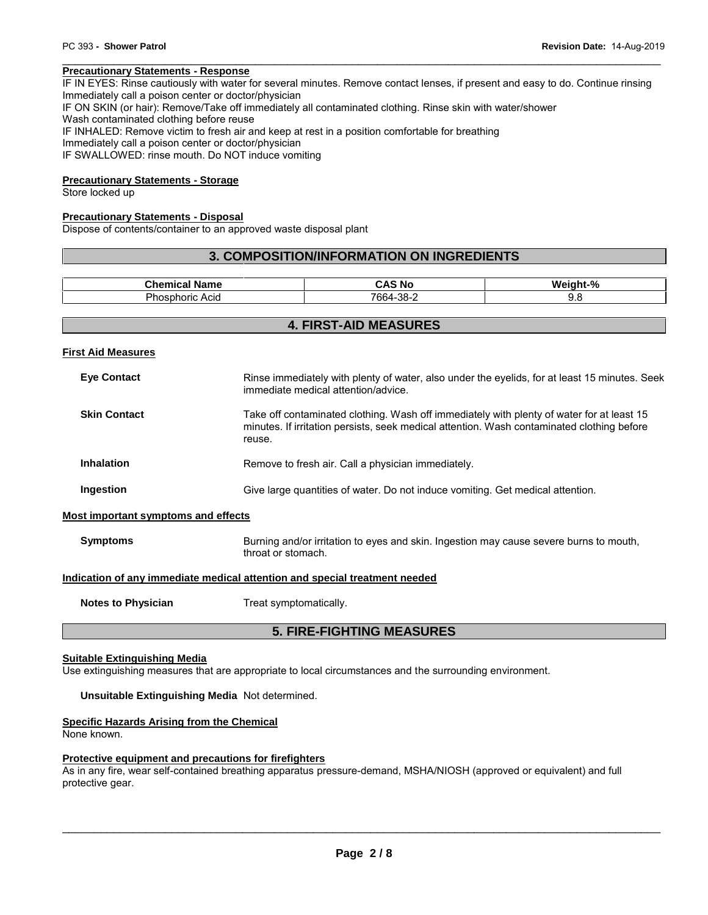PC 393 - **Shower Patrol**<br> **Precautionary Statements - Response**<br>IF IN EYES: Rinse cautiously with water for several minutes. Remove contact lenses, if present and easy to do. Continue rinsing<br>Immediately call a poison cent Immediately call a poison center or doctor/physician IF ON SKIN (or hair): Remove/Take off immediately all contaminated clothing. Rinse skin with water/shower Wash contaminated clothing before reuse IF INHALED: Remove victim to fresh air and keep at rest in a position comfortable for breathing Immediately call a poison center or doctor/physician IF SWALLOWED: rinse mouth. Do NOT induce vomiting

#### **Precautionary Statements - Storage**

Store locked up

#### **Precautionary Statements - Disposal**

Dispose of contents/container to an approved waste disposal plant

#### **3. COMPOSITION/INFORMATION ON INGREDIENTS**

| <b>Collaboration</b><br>Name<br>нса | ⊺NC<br>$-1$             | -04<br>w. |
|-------------------------------------|-------------------------|-----------|
| Acia<br>าoric<br>10<br>ж            | 7664-<br>ാറ<br>-ാഠ<br>- | ◡.◡       |

#### **4. FIRST-AID MEASURES**

**First Aid Measures**

| <b>Eye Contact</b>                  | Rinse immediately with plenty of water, also under the eyelids, for at least 15 minutes. Seek<br>immediate medical attention/advice.                                                              |
|-------------------------------------|---------------------------------------------------------------------------------------------------------------------------------------------------------------------------------------------------|
| <b>Skin Contact</b>                 | Take off contaminated clothing. Wash off immediately with plenty of water for at least 15<br>minutes. If irritation persists, seek medical attention. Wash contaminated clothing before<br>reuse. |
| <b>Inhalation</b>                   | Remove to fresh air. Call a physician immediately.                                                                                                                                                |
| Ingestion                           | Give large quantities of water. Do not induce vomiting. Get medical attention.                                                                                                                    |
| Most important symptoms and effects |                                                                                                                                                                                                   |
| <b>Symptoms</b>                     | Burning and/or irritation to eyes and skin. Ingestion may cause severe burns to mouth,                                                                                                            |

# **Indication of any immediate medical attention and special treatment needed**

throat or stomach.

**Notes to Physician** Treat symptomatically.

#### **5. FIRE-FIGHTING MEASURES**

#### **Suitable Extinguishing Media**

Use extinguishing measures that are appropriate to local circumstances and the surrounding environment.

#### **Unsuitable Extinguishing Media** Not determined.

#### **Specific Hazards Arising from the Chemical**

None known.

#### **Protective equipment and precautions for firefighters**

As in any fire, wear self-contained breathing apparatus pressure-demand, MSHA/NIOSH (approved or equivalent) and full protective gear.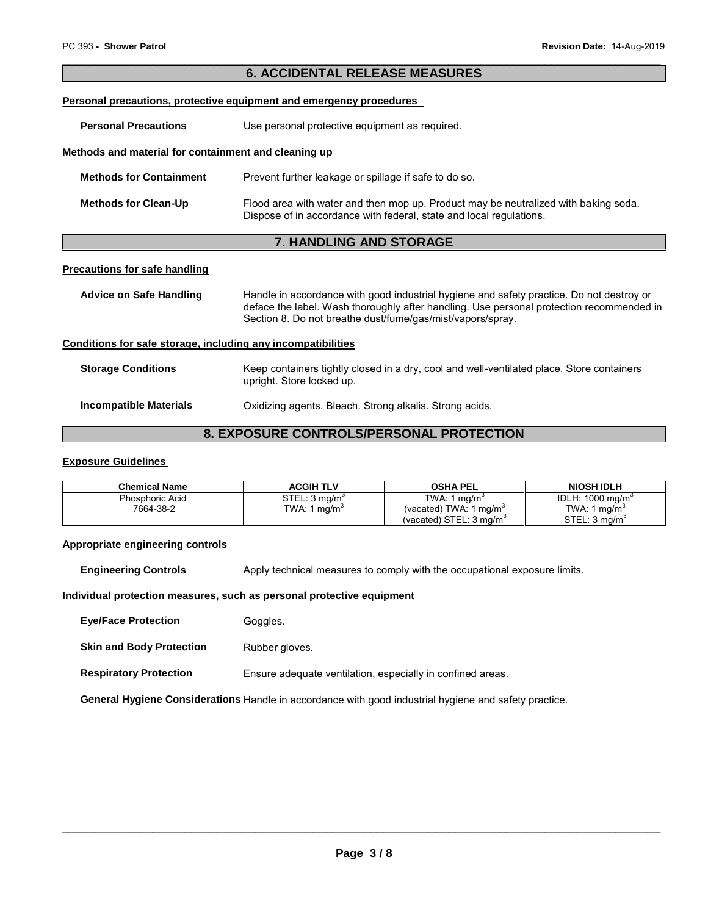# **6. ACCIDENTAL RELEASE MEASURES Personal precautions, protective equipment and emergency procedures Personal Precautions** Use personal protective equipment as required. **Methods and material for containment and cleaning up Methods for Containment** Prevent further leakage or spillage if safe to do so. **Methods for Clean-Up** Flood area with water and then mop up. Product may be neutralized with baking soda. Dispose of in accordance with federal, state and local regulations.

#### **7. HANDLING AND STORAGE**

#### **Precautions for safe handling**

| Advice on Safe Handling                                      | Handle in accordance with good industrial hygiene and safety practice. Do not destroy or<br>deface the label. Wash thoroughly after handling. Use personal protection recommended in<br>Section 8. Do not breathe dust/fume/gas/mist/vapors/spray. |
|--------------------------------------------------------------|----------------------------------------------------------------------------------------------------------------------------------------------------------------------------------------------------------------------------------------------------|
| Conditions for safe storage, including any incompatibilities |                                                                                                                                                                                                                                                    |

# **Storage Conditions** Keep containers tightly closed in a dry, cool and well-ventilated place. Store containers upright. Store locked up.

# **8. EXPOSURE CONTROLS/PERSONAL PROTECTION**

#### **Exposure Guidelines**

| Chemical Name   | <b>ACGIH TLV</b>          | OSHA PEL                           | <b>NIOSH IDLH</b>            |
|-----------------|---------------------------|------------------------------------|------------------------------|
| Phosphoric Acid | STEL: 3 mg/m <sup>3</sup> | TWA: 1 $ma/m3$                     | IDLH: 1000 ma/m <sup>3</sup> |
| 7664-38-2       | TWA: 1 ma/m <sup>3</sup>  | (vacated) TWA: 1 mg/m <sup>3</sup> | TWA: 1 $mq/m3$               |
|                 |                           | (vacated) $STEL: 3 ma/m3$          | STEL: 3 ma/m <sup>3</sup>    |

#### **Appropriate engineering controls**

**Engineering Controls** Apply technical measures to comply with the occupational exposure limits.

#### **Individual protection measures, such as personal protective equipment**

**Eye/Face Protection** Goggles.

**Skin and Body Protection** Rubber gloves.

**Respiratory Protection** Ensure adequate ventilation, especially in confined areas.

**General Hygiene Considerations** Handle in accordance with good industrial hygiene and safety practice.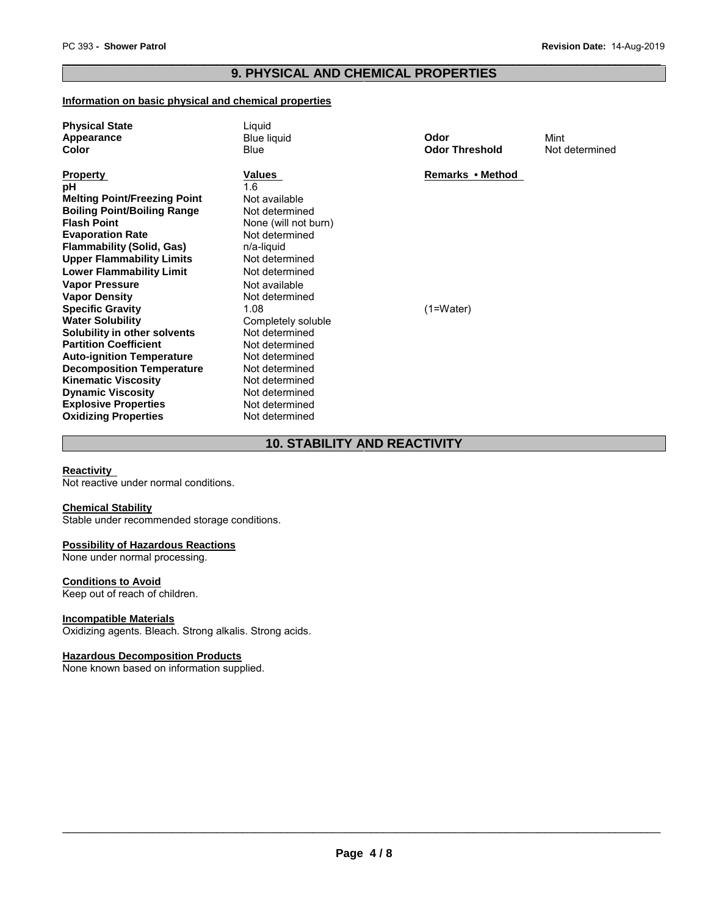# PC 393 - Shower Patrol<br> **Revision Date:** 14-Aug-2019<br> **Revision Date:** 14-Aug-2019 **9. PHYSICAL AND CHEMICAL PROPERTIES**

#### **Information on basic physical and chemical properties**

| <b>Physical State</b>               | Liguid               |                       |                |
|-------------------------------------|----------------------|-----------------------|----------------|
| Appearance                          | <b>Blue liquid</b>   | Odor                  | Mint           |
| <b>Color</b>                        | Blue                 | <b>Odor Threshold</b> | Not determined |
| <b>Property</b>                     | Values               | Remarks • Method      |                |
| рH                                  | 1.6                  |                       |                |
| <b>Melting Point/Freezing Point</b> | Not available        |                       |                |
| <b>Boiling Point/Boiling Range</b>  | Not determined       |                       |                |
| <b>Flash Point</b>                  | None (will not burn) |                       |                |
| <b>Evaporation Rate</b>             | Not determined       |                       |                |
| <b>Flammability (Solid, Gas)</b>    | n/a-liquid           |                       |                |
| <b>Upper Flammability Limits</b>    | Not determined       |                       |                |
| <b>Lower Flammability Limit</b>     | Not determined       |                       |                |
| <b>Vapor Pressure</b>               | Not available        |                       |                |
| <b>Vapor Density</b>                | Not determined       |                       |                |
| <b>Specific Gravity</b>             | 1.08                 | $(1=Water)$           |                |
| <b>Water Solubility</b>             | Completely soluble   |                       |                |
| Solubility in other solvents        | Not determined       |                       |                |
| <b>Partition Coefficient</b>        | Not determined       |                       |                |
| <b>Auto-ignition Temperature</b>    | Not determined       |                       |                |
| <b>Decomposition Temperature</b>    | Not determined       |                       |                |
| <b>Kinematic Viscosity</b>          | Not determined       |                       |                |
| <b>Dynamic Viscosity</b>            | Not determined       |                       |                |
| <b>Explosive Properties</b>         | Not determined       |                       |                |
| <b>Oxidizing Properties</b>         | Not determined       |                       |                |

# **10. STABILITY AND REACTIVITY**

#### **Reactivity**

Not reactive under normal conditions.

#### **Chemical Stability**

Stable under recommended storage conditions.

#### **Possibility of Hazardous Reactions**

None under normal processing.

#### **Conditions to Avoid**

Keep out of reach of children.

#### **Incompatible Materials**

Oxidizing agents. Bleach. Strong alkalis. Strong acids.

#### **Hazardous Decomposition Products**

None known based on information supplied.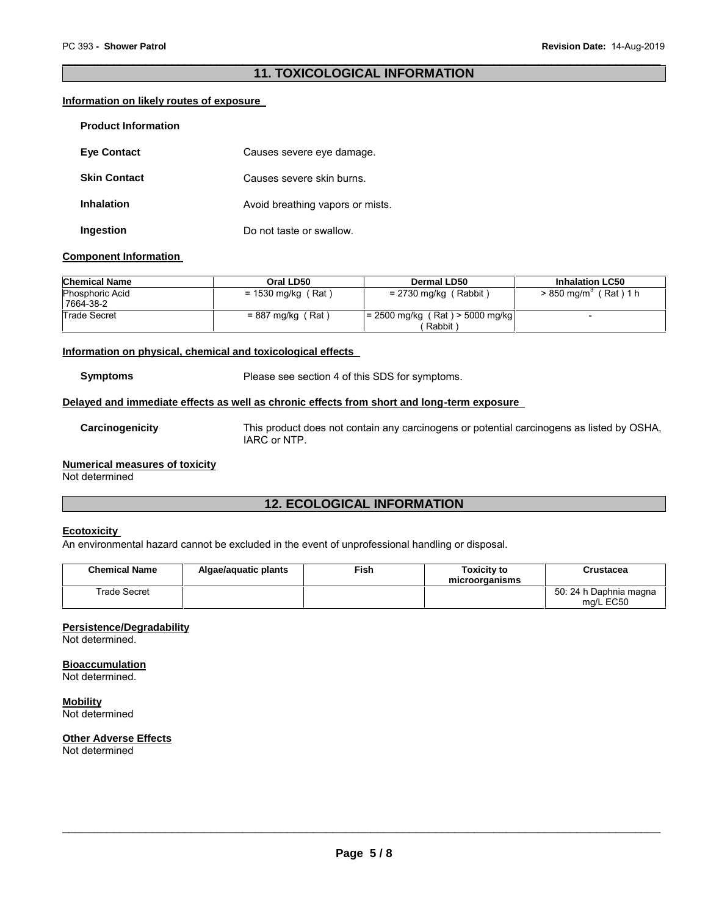# **11. TOXICOLOGICAL INFORMATION**

#### **Information on likely routes of exposure**

| <b>Product Information</b> |                                  |
|----------------------------|----------------------------------|
| <b>Eve Contact</b>         | Causes severe eye damage.        |
| <b>Skin Contact</b>        | Causes severe skin burns.        |
| <b>Inhalation</b>          | Avoid breathing vapors or mists. |
| Ingestion                  | Do not taste or swallow.         |

#### **Component Information**

| <b>Chemical Name</b>                | Oral LD50            | Dermal LD50                                 | <b>Inhalation LC50</b>              |
|-------------------------------------|----------------------|---------------------------------------------|-------------------------------------|
| <b>Phosphoric Acid</b><br>7664-38-2 | $= 1530$ mg/kg (Rat) | $= 2730$ mg/kg (Rabbit)                     | $> 850$ mg/m <sup>3</sup> (Rat) 1 h |
| Trade Secret                        | $= 887$ mg/kg (Rat)  | $= 2500$ mg/kg (Rat) > 5000 mg/kg<br>Rabbit | $\overline{\phantom{0}}$            |

#### **Information on physical, chemical and toxicological effects**

**Symptoms** Please see section 4 of this SDS for symptoms.

#### **Delayed and immediate effects as well as chronic effects from short and long-term exposure**

**Carcinogenicity** This product does not contain any carcinogens or potential carcinogens as listed by OSHA, IARC or NTP.

# **Numerical measures of toxicity**

Not determined

# **12. ECOLOGICAL INFORMATION**

## **Ecotoxicity**

An environmental hazard cannot be excluded in the event of unprofessional handling or disposal.

| <b>Chemical Name</b> | Algae/aguatic plants | Fish | Toxicitv to<br>microorganisms | Crustacea                           |
|----------------------|----------------------|------|-------------------------------|-------------------------------------|
| Trade Secret         |                      |      |                               | 50: 24 h Daphnia magna<br>ma/L EC50 |

#### **Persistence/Degradability**

Not determined.

**Bioaccumulation**

Not determined.

**Mobility** Not determined

# **Other Adverse Effects**

Not determined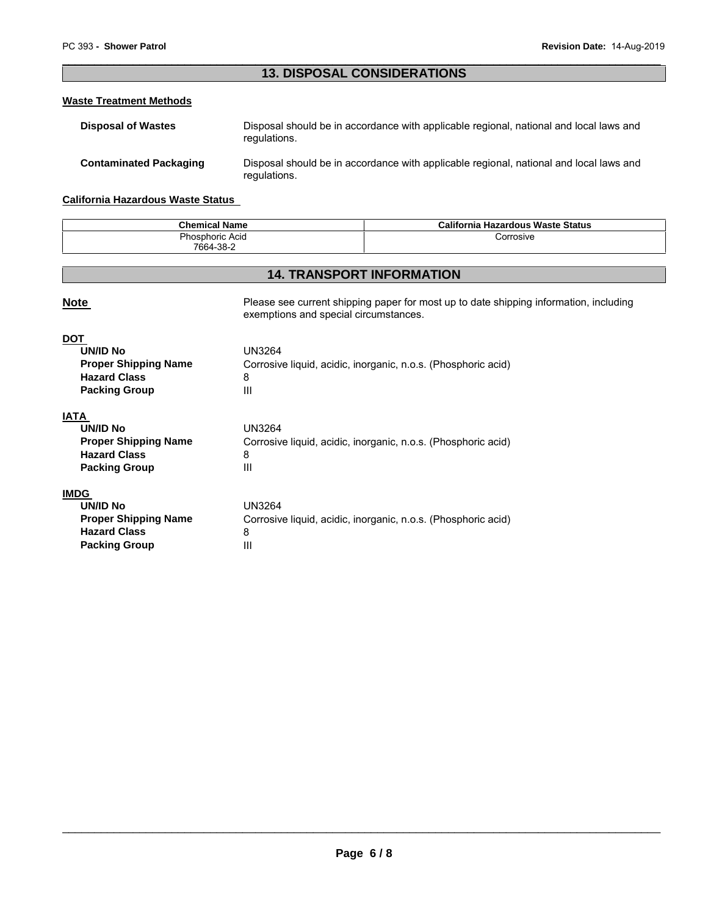# **13. DISPOSAL CONSIDERATIONS**

#### **Waste Treatment Methods**

| <b>Disposal of Wastes</b>     | Disposal should be in accordance with applicable regional, national and local laws and<br>regulations. |
|-------------------------------|--------------------------------------------------------------------------------------------------------|
| <b>Contaminated Packaging</b> | Disposal should be in accordance with applicable regional, national and local laws and<br>regulations. |

# **California Hazardous Waste Status**

**Packing Group III** 

| <b>Chemical Name</b> | California<br>ı Hazardous Waste Status |  |
|----------------------|----------------------------------------|--|
| Phosphoric Acid      | Corrosive                              |  |
| 7664-38-2            |                                        |  |

# **14. TRANSPORT INFORMATION**

| <b>Note</b>                                                                                                  | Please see current shipping paper for most up to date shipping information, including<br>exemptions and special circumstances. |
|--------------------------------------------------------------------------------------------------------------|--------------------------------------------------------------------------------------------------------------------------------|
| <b>DOT</b><br><b>UN/ID No</b><br><b>Proper Shipping Name</b><br><b>Hazard Class</b><br><b>Packing Group</b>  | <b>UN3264</b><br>Corrosive liquid, acidic, inorganic, n.o.s. (Phosphoric acid)<br>8<br>Ш                                       |
| <b>IATA</b><br><b>UN/ID No</b><br><b>Proper Shipping Name</b><br><b>Hazard Class</b><br><b>Packing Group</b> | <b>UN3264</b><br>Corrosive liquid, acidic, inorganic, n.o.s. (Phosphoric acid)<br>8<br>$\mathbf{III}$                          |
| <b>IMDG</b><br><b>UN/ID No</b><br><b>Proper Shipping Name</b><br><b>Hazard Class</b>                         | UN3264<br>Corrosive liquid, acidic, inorganic, n.o.s. (Phosphoric acid)<br>8                                                   |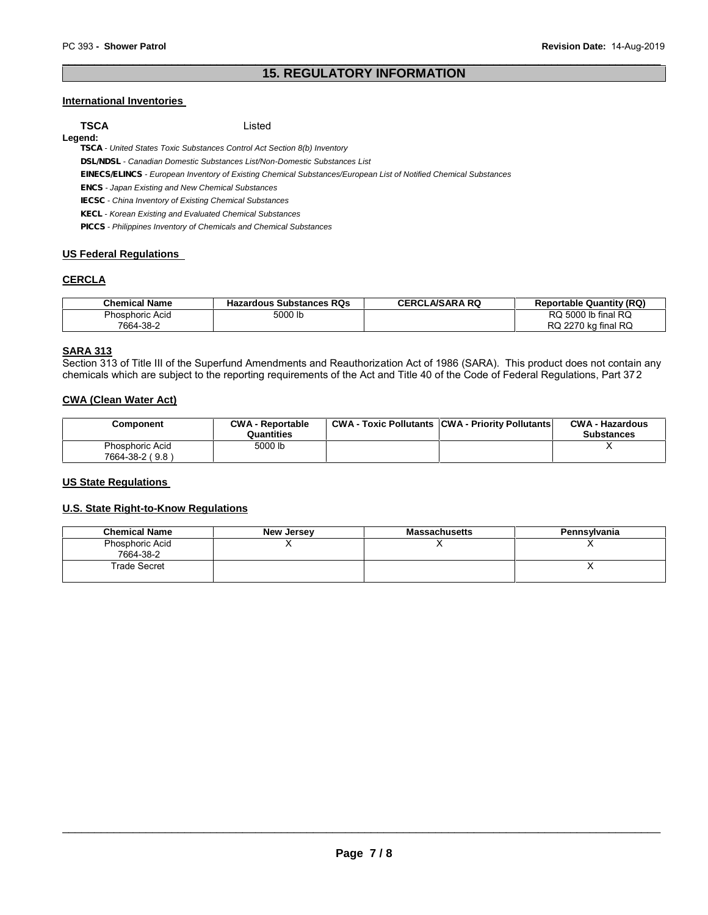# **15. REGULATORY INFORMATION**

#### **International Inventories**

**Legend:**

**TSCA** Listed

*TSCA - United States Toxic Substances Control Act Section 8(b) Inventory*

*DSL/NDSL - Canadian Domestic Substances List/Non-Domestic Substances List*

*EINECS/ELINCS - European Inventory of Existing Chemical Substances/European List of Notified Chemical Substances*

*ENCS - Japan Existing and New Chemical Substances*

*IECSC - China Inventory of Existing Chemical Substances*

*KECL - Korean Existing and Evaluated Chemical Substances*

*PICCS - Philippines Inventory of Chemicals and Chemical Substances*

#### **US Federal Regulations**

#### **CERCLA**

| Chemical Name   | <b>Hazardous Substances RQs</b> | <b>CERCLA/SARA RQ</b> | <b>Reportable Quantity (RQ)</b> |
|-----------------|---------------------------------|-----------------------|---------------------------------|
| Phosphoric Acid | 5000 lb                         |                       | RQ 5000 lb final RQ             |
| 7664-38-2       |                                 |                       | ' RQ<br>RQ 2270 kg final        |

#### **SARA 313**

Section 313 of Title III of the Superfund Amendments and Reauthorization Act of 1986 (SARA). This product does not contain any chemicals which are subject to the reporting requirements of the Act and Title 40 of the Code of Federal Regulations, Part 372

#### **CWA (Clean Water Act)**

| Component                          | <b>CWA - Reportable</b><br>Quantities | <b>CWA - Toxic Pollutants CWA - Priority Pollutants</b> | <b>CWA - Hazardous</b><br><b>Substances</b> |
|------------------------------------|---------------------------------------|---------------------------------------------------------|---------------------------------------------|
| Phosphoric Acid<br>7664-38-2 (9.8) | 5000 lb                               |                                                         |                                             |

#### **US State Regulations**

#### **U.S. State Right-to-Know Regulations**

| <b>Chemical Name</b>         | New Jersey | <b>Massachusetts</b> | Pennsylvania |
|------------------------------|------------|----------------------|--------------|
| Phosphoric Acid<br>7664-38-2 |            |                      |              |
| Trade Secret                 |            |                      |              |